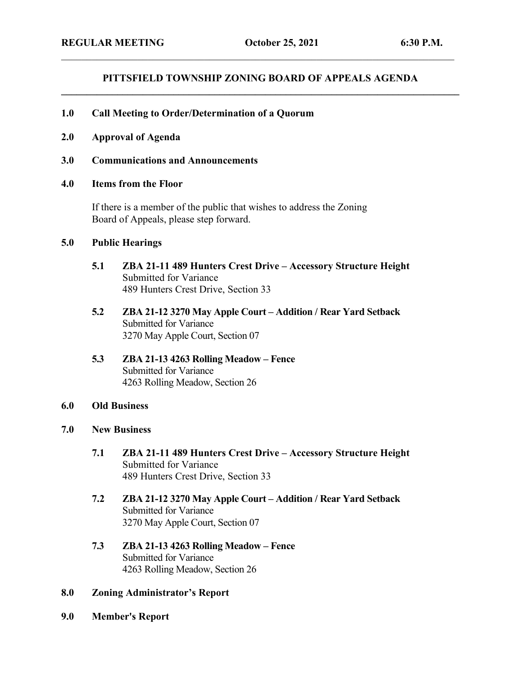## **PITTSFIELD TOWNSHIP ZONING BOARD OF APPEALS AGENDA \_\_\_\_\_\_\_\_\_\_\_\_\_\_\_\_\_\_\_\_\_\_\_\_\_\_\_\_\_\_\_\_\_\_\_\_\_\_\_\_\_\_\_\_\_\_\_\_\_\_\_\_\_\_\_\_\_\_\_\_\_\_\_\_\_\_\_\_\_\_\_\_\_\_\_\_\_\_**

\_\_\_\_\_\_\_\_\_\_\_\_\_\_\_\_\_\_\_\_\_\_\_\_\_\_\_\_\_\_\_\_\_\_\_\_\_\_\_\_\_\_\_\_\_\_\_\_\_\_\_\_\_\_\_\_\_\_\_\_\_\_\_\_\_\_\_\_\_\_\_\_\_\_\_\_\_

## **1.0 Call Meeting to Order/Determination of a Quorum**

- **2.0 Approval of Agenda**
- **3.0 Communications and Announcements**
- **4.0 Items from the Floor**

If there is a member of the public that wishes to address the Zoning Board of Appeals, please step forward.

## **5.0 Public Hearings**

- **5.1 ZBA 21-11 489 Hunters Crest Drive – Accessory Structure Height** Submitted for Variance 489 Hunters Crest Drive, Section 33
- **5.2 ZBA 21-12 3270 May Apple Court – Addition / Rear Yard Setback** Submitted for Variance 3270 May Apple Court, Section 07
- **5.3 ZBA 21-13 4263 Rolling Meadow – Fence** Submitted for Variance 4263 Rolling Meadow, Section 26
- **6.0 Old Business**
- **7.0 New Business**
	- **7.1 ZBA 21-11 489 Hunters Crest Drive – Accessory Structure Height** Submitted for Variance 489 Hunters Crest Drive, Section 33
	- **7.2 ZBA 21-12 3270 May Apple Court – Addition / Rear Yard Setback** Submitted for Variance 3270 May Apple Court, Section 07
	- **7.3 ZBA 21-13 4263 Rolling Meadow – Fence** Submitted for Variance 4263 Rolling Meadow, Section 26
- **8.0 Zoning Administrator's Report**
- **9.0 Member's Report**